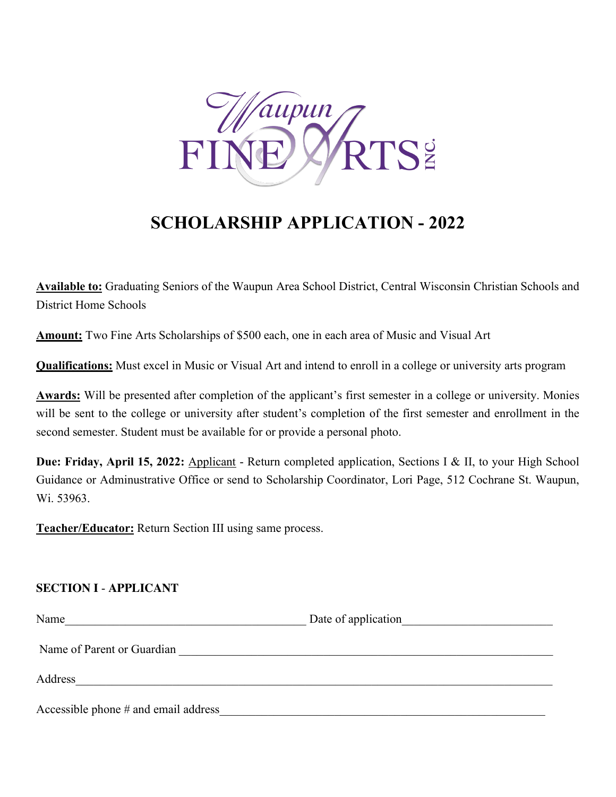

# **SCHOLARSHIP APPLICATION - 2022**

**Available to:** Graduating Seniors of the Waupun Area School District, Central Wisconsin Christian Schools and District Home Schools

**Amount:** Two Fine Arts Scholarships of \$500 each, one in each area of Music and Visual Art

**Qualifications:** Must excel in Music or Visual Art and intend to enroll in a college or university arts program

**Awards:** Will be presented after completion of the applicant's first semester in a college or university. Monies will be sent to the college or university after student's completion of the first semester and enrollment in the second semester. Student must be available for or provide a personal photo.

**Due: Friday, April 15, 2022:** Applicant - Return completed application, Sections I & II, to your High School Guidance or Adminustrative Office or send to Scholarship Coordinator, Lori Page, 512 Cochrane St. Waupun, Wi. 53963.

**Teacher/Educator:** Return Section III using same process.

### **SECTION I** - **APPLICANT**

| Name                                 | Date of application |
|--------------------------------------|---------------------|
| Name of Parent or Guardian           |                     |
| Address                              |                     |
| Accessible phone # and email address |                     |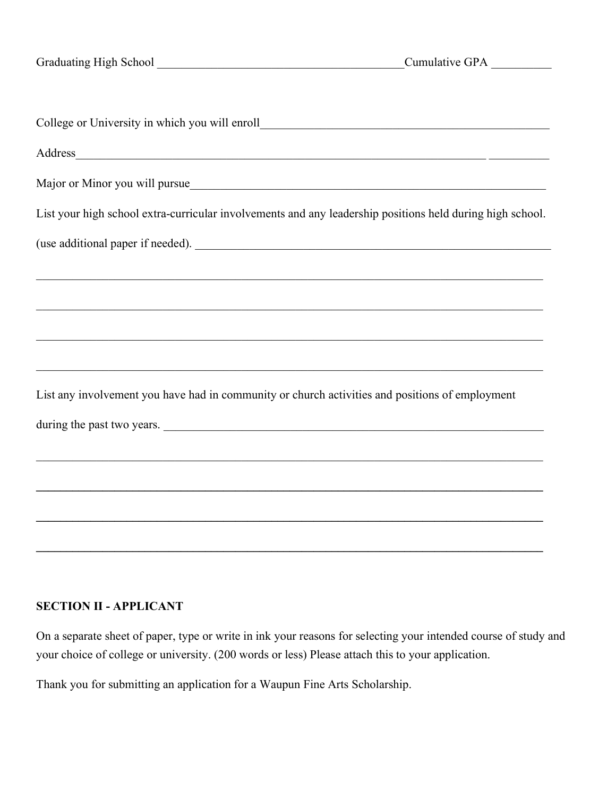| Address and the contract of the contract of the contract of the contract of the contract of the contract of the contract of the contract of the contract of the contract of the contract of the contract of the contract of th |
|--------------------------------------------------------------------------------------------------------------------------------------------------------------------------------------------------------------------------------|
| Major or Minor you will pursue                                                                                                                                                                                                 |
| List your high school extra-curricular involvements and any leadership positions held during high school.                                                                                                                      |
|                                                                                                                                                                                                                                |
|                                                                                                                                                                                                                                |
|                                                                                                                                                                                                                                |
|                                                                                                                                                                                                                                |
| ,我们也不能在这里的时候,我们也不能在这里的时候,我们也不能会在这里,我们也不能会不能会不能会不能会不能会不能会。""我们,我们也不能会不能会不能会不能会不能会                                                                                                                                               |
| List any involvement you have had in community or church activities and positions of employment                                                                                                                                |
| during the past two years.                                                                                                                                                                                                     |
| ,我们也不能在这里的时候,我们也不能在这里的时候,我们也不能会在这里的时候,我们也不能会在这里的时候,我们也不能会在这里的时候,我们也不能会在这里的时候,我们也不                                                                                                                                              |
|                                                                                                                                                                                                                                |
|                                                                                                                                                                                                                                |
|                                                                                                                                                                                                                                |

## **SECTION II - APPLICANT**

On a separate sheet of paper, type or write in ink your reasons for selecting your intended course of study and your choice of college or university. (200 words or less) Please attach this to your application.

Thank you for submitting an application for a Waupun Fine Arts Scholarship.